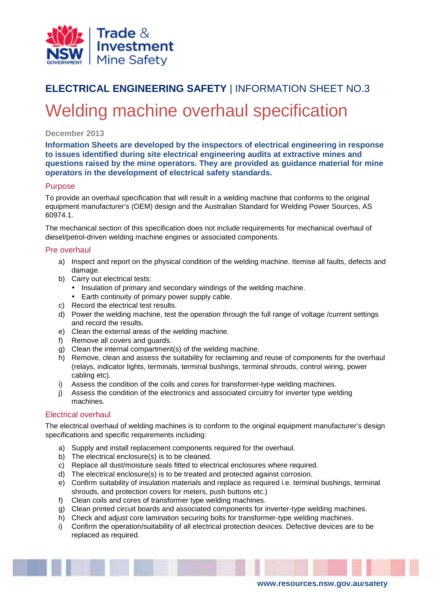

# **ELECTRICAL ENGINEERING SAFETY** | INFORMATION SHEET NO.3 Welding machine overhaul specification

# **December 2013**

**Information Sheets are developed by the inspectors of electrical engineering in response to issues identified during site electrical engineering audits at extractive mines and questions raised by the mine operators. They are provided as guidance material for mine operators in the development of electrical safety standards.**

# **Purpose**

To provide an overhaul specification that will result in a welding machine that conforms to the original equipment manufacturer's (OEM) design and the Australian Standard for Welding Power Sources, AS 60974.1.

The mechanical section of this specification does not include requirements for mechanical overhaul of diesel/petrol-driven welding machine engines or associated components.

# Pre overhaul

- a) Inspect and report on the physical condition of the welding machine. Itemise all faults, defects and damage.
- b) Carry out electrical tests:
	- Insulation of primary and secondary windings of the welding machine.
	- Earth continuity of primary power supply cable.
- c) Record the electrical test results.
- d) Power the welding machine, test the operation through the full range of voltage /current settings and record the results.
- e) Clean the external areas of the welding machine.
- f) Remove all covers and guards.
- g) Clean the internal compartment(s) of the welding machine.
- h) Remove, clean and assess the suitability for reclaiming and reuse of components for the overhaul (relays, indicator lights, terminals, terminal bushings, terminal shrouds, control wiring, power cabling etc).
- i) Assess the condition of the coils and cores for transformer-type welding machines.
- j) Assess the condition of the electronics and associated circuitry for inverter type welding machines.

# Electrical overhaul

The electrical overhaul of welding machines is to conform to the original equipment manufacturer's design specifications and specific requirements including:

- a) Supply and install replacement components required for the overhaul.
- b) The electrical enclosure(s) is to be cleaned.
- c) Replace all dust/moisture seals fitted to electrical enclosures where required.
- d) The electrical enclosure(s) is to be treated and protected against corrosion.
- e) Confirm suitability of insulation materials and replace as required i.e. terminal bushings, terminal shrouds, and protection covers for meters, push buttons etc.)
- f) Clean coils and cores of transformer type welding machines.
- g) Clean printed circuit boards and associated components for inverter-type welding machines.
- h) Check and adjust core lamination securing bolts for transformer-type welding machines.
- i) Confirm the operation/suitability of all electrical protection devices. Defective devices are to be replaced as required.

**www.resources.nsw.gov.au/safety**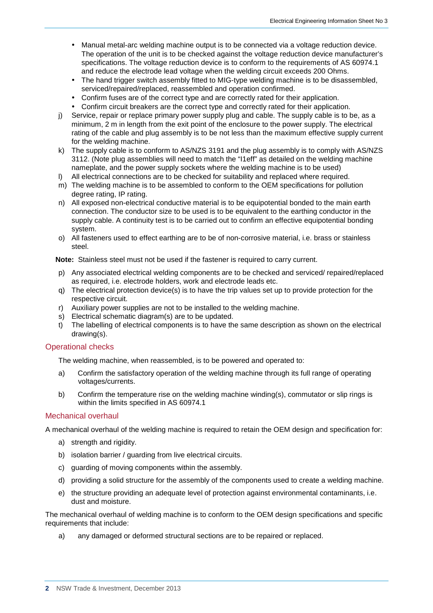- Manual metal-arc welding machine output is to be connected via a voltage reduction device. The operation of the unit is to be checked against the voltage reduction device manufacturer's specifications. The voltage reduction device is to conform to the requirements of AS 60974.1 and reduce the electrode lead voltage when the welding circuit exceeds 200 Ohms.
- The hand trigger switch assembly fitted to MIG-type welding machine is to be disassembled, serviced/repaired/replaced, reassembled and operation confirmed.
- Confirm fuses are of the correct type and are correctly rated for their application.
- Confirm circuit breakers are the correct type and correctly rated for their application.
- j) Service, repair or replace primary power supply plug and cable. The supply cable is to be, as a minimum, 2 m in length from the exit point of the enclosure to the power supply. The electrical rating of the cable and plug assembly is to be not less than the maximum effective supply current for the welding machine.
- k) The supply cable is to conform to AS/NZS 3191 and the plug assembly is to comply with AS/NZS 3112. (Note plug assemblies will need to match the "I1eff" as detailed on the welding machine nameplate, and the power supply sockets where the welding machine is to be used)
- l) All electrical connections are to be checked for suitability and replaced where required.
- m) The welding machine is to be assembled to conform to the OEM specifications for pollution degree rating, IP rating.
- n) All exposed non-electrical conductive material is to be equipotential bonded to the main earth connection. The conductor size to be used is to be equivalent to the earthing conductor in the supply cable. A continuity test is to be carried out to confirm an effective equipotential bonding system.
- o) All fasteners used to effect earthing are to be of non-corrosive material, i.e. brass or stainless steel.

**Note:** Stainless steel must not be used if the fastener is required to carry current.

- p) Any associated electrical welding components are to be checked and serviced/ repaired/replaced as required, i.e. electrode holders, work and electrode leads etc.
- q) The electrical protection device(s) is to have the trip values set up to provide protection for the respective circuit.
- r) Auxiliary power supplies are not to be installed to the welding machine.
- s) Electrical schematic diagram(s) are to be updated.
- t) The labelling of electrical components is to have the same description as shown on the electrical drawing(s).

#### Operational checks

The welding machine, when reassembled, is to be powered and operated to:

- a) Confirm the satisfactory operation of the welding machine through its full range of operating voltages/currents.
- b) Confirm the temperature rise on the welding machine winding(s), commutator or slip rings is within the limits specified in AS 60974.1

#### Mechanical overhaul

A mechanical overhaul of the welding machine is required to retain the OEM design and specification for:

- a) strength and rigidity.
- b) isolation barrier / guarding from live electrical circuits.
- c) quarding of moving components within the assembly.
- d) providing a solid structure for the assembly of the components used to create a welding machine.
- e) the structure providing an adequate level of protection against environmental contaminants, i.e. dust and moisture.

The mechanical overhaul of welding machine is to conform to the OEM design specifications and specific requirements that include:

a) any damaged or deformed structural sections are to be repaired or replaced.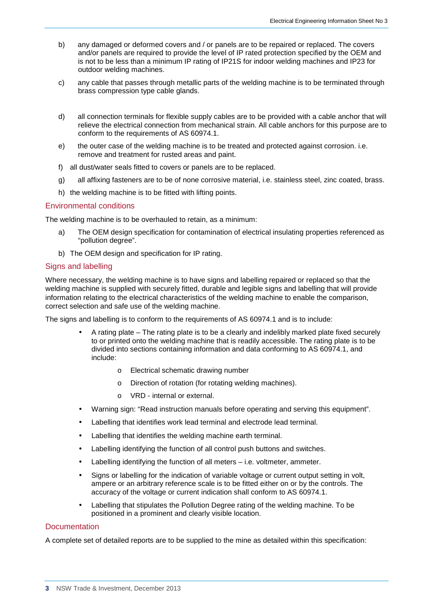- b) any damaged or deformed covers and / or panels are to be repaired or replaced. The covers and/or panels are required to provide the level of IP rated protection specified by the OEM and is not to be less than a minimum IP rating of IP21S for indoor welding machines and IP23 for outdoor welding machines.
- c) any cable that passes through metallic parts of the welding machine is to be terminated through brass compression type cable glands.
- d) all connection terminals for flexible supply cables are to be provided with a cable anchor that will relieve the electrical connection from mechanical strain. All cable anchors for this purpose are to conform to the requirements of AS 60974.1.
- e) the outer case of the welding machine is to be treated and protected against corrosion. i.e. remove and treatment for rusted areas and paint.
- f) all dust/water seals fitted to covers or panels are to be replaced.
- g) all affixing fasteners are to be of none corrosive material, i.e. stainless steel, zinc coated, brass.
- h) the welding machine is to be fitted with lifting points.

#### Environmental conditions

The welding machine is to be overhauled to retain, as a minimum:

- a) The OEM design specification for contamination of electrical insulating properties referenced as "pollution degree".
- b) The OEM design and specification for IP rating.

### Signs and labelling

Where necessary, the welding machine is to have signs and labelling repaired or replaced so that the welding machine is supplied with securely fitted, durable and legible signs and labelling that will provide information relating to the electrical characteristics of the welding machine to enable the comparison, correct selection and safe use of the welding machine.

The signs and labelling is to conform to the requirements of AS 60974.1 and is to include:

- A rating plate The rating plate is to be a clearly and indelibly marked plate fixed securely to or printed onto the welding machine that is readily accessible. The rating plate is to be divided into sections containing information and data conforming to AS 60974.1, and include:
	- o Electrical schematic drawing number
	- o Direction of rotation (for rotating welding machines).
	- o VRD internal or external.
- Warning sign: "Read instruction manuals before operating and serving this equipment".
- Labelling that identifies work lead terminal and electrode lead terminal.
- Labelling that identifies the welding machine earth terminal.
- Labelling identifying the function of all control push buttons and switches.
- Labelling identifying the function of all meters i.e. voltmeter, ammeter.
- Signs or labelling for the indication of variable voltage or current output setting in volt, ampere or an arbitrary reference scale is to be fitted either on or by the controls. The accuracy of the voltage or current indication shall conform to AS 60974.1.
- Labelling that stipulates the Pollution Degree rating of the welding machine. To be positioned in a prominent and clearly visible location.

#### **Documentation**

A complete set of detailed reports are to be supplied to the mine as detailed within this specification: